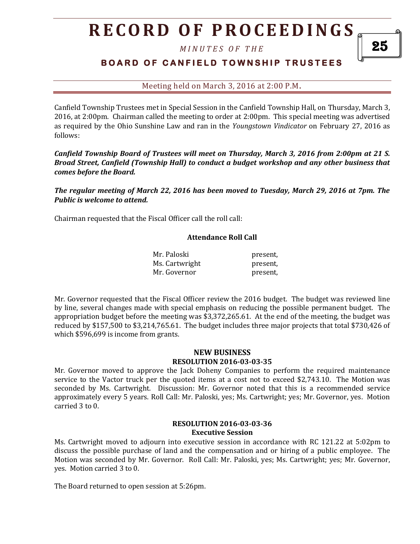# **R E C O R D O F P R O C E E D I N GS**

*M I N U T E S O F T H E* 

### **BOARD OF CANFIELD TOWNSHIP TRUSTEES**

Meeting held on March 3, 2016 at 2:00 P.M**.**

Canfield Township Trustees met in Special Session in the Canfield Township Hall, on Thursday, March 3, 2016, at 2:00pm. Chairman called the meeting to order at 2:00pm. This special meeting was advertised as required by the Ohio Sunshine Law and ran in the *Youngstown Vindicator* on February 27, 2016 as follows:

*Canfield Township Board of Trustees will meet on Thursday, March 3, 2016 from 2:00pm at 21 S. Broad Street, Canfield (Township Hall) to conduct a budget workshop and any other business that comes before the Board.*

*The regular meeting of March 22, 2016 has been moved to Tuesday, March 29, 2016 at 7pm. The Public is welcome to attend.*

Chairman requested that the Fiscal Officer call the roll call:

#### **Attendance Roll Call**

| Mr. Paloski    | present, |
|----------------|----------|
| Ms. Cartwright | present, |
| Mr. Governor   | present, |

Mr. Governor requested that the Fiscal Officer review the 2016 budget. The budget was reviewed line by line, several changes made with special emphasis on reducing the possible permanent budget. The appropriation budget before the meeting was \$3,372,265.61. At the end of the meeting, the budget was reduced by \$157,500 to \$3,214,765.61. The budget includes three major projects that total \$730,426 of which \$596,699 is income from grants.

#### **NEW BUSINESS RESOLUTION 2016-03-03-35**

Mr. Governor moved to approve the Jack Doheny Companies to perform the required maintenance service to the Vactor truck per the quoted items at a cost not to exceed \$2,743.10. The Motion was seconded by Ms. Cartwright. Discussion: Mr. Governor noted that this is a recommended service approximately every 5 years. Roll Call: Mr. Paloski, yes; Ms. Cartwright; yes; Mr. Governor, yes. Motion carried 3 to 0.

#### **RESOLUTION 2016-03-03-36 Executive Session**

Ms. Cartwright moved to adjourn into executive session in accordance with RC 121.22 at 5:02pm to discuss the possible purchase of land and the compensation and or hiring of a public employee. The Motion was seconded by Mr. Governor. Roll Call: Mr. Paloski, yes; Ms. Cartwright; yes; Mr. Governor, yes. Motion carried 3 to 0.

The Board returned to open session at 5:26pm.

25